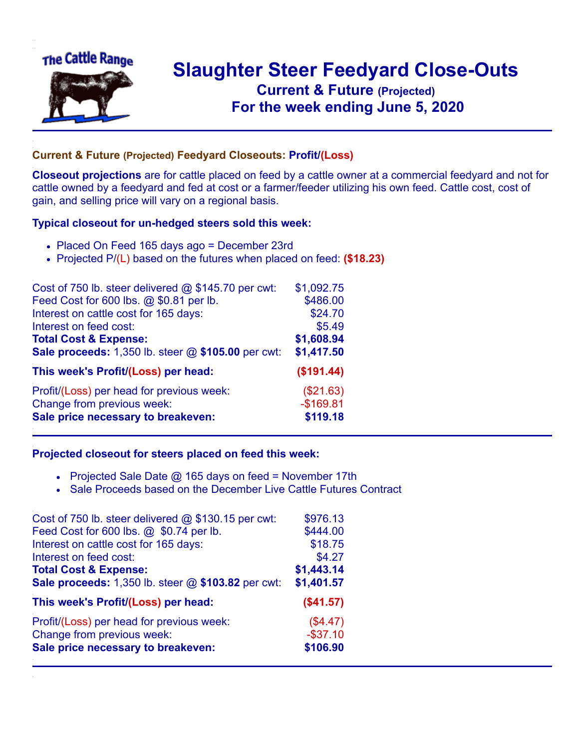

## **Slaughter Steer Feedyard Close-Outs Current & Future (Projected)** .**For the week ending June 5, 2020**

## **Current & Future (Projected) Feedyard Closeouts: Profit/(Loss)**

**Closeout projections** are for cattle placed on feed by a cattle owner at a commercial feedyard and not for cattle owned by a feedyard and fed at cost or a farmer/feeder utilizing his own feed. Cattle cost, cost of gain, and selling price will vary on a regional basis.

## **Typical closeout for un-hedged steers sold this week:**

- Placed On Feed 165 days ago = December 23rd
- Projected P/(L) based on the futures when placed on feed: **(\$18.23)**

| Cost of 750 lb. steer delivered @ \$145.70 per cwt: | \$1,092.75 |
|-----------------------------------------------------|------------|
| Feed Cost for 600 lbs. @ \$0.81 per lb.             | \$486.00   |
| Interest on cattle cost for 165 days:               | \$24.70    |
| Interest on feed cost:                              | \$5.49     |
| <b>Total Cost &amp; Expense:</b>                    | \$1,608.94 |
| Sale proceeds: 1,350 lb. steer @ \$105.00 per cwt:  | \$1,417.50 |
| This week's Profit/(Loss) per head:                 | (\$191.44) |
| Profit/(Loss) per head for previous week:           | (\$21.63)  |
| Change from previous week:                          | $-$169.81$ |
| Sale price necessary to breakeven:                  | \$119.18   |

## **Projected closeout for steers placed on feed this week:**

- Projected Sale Date  $@$  165 days on feed = November 17th
- Sale Proceeds based on the December Live Cattle Futures Contract

| Cost of 750 lb. steer delivered $@$ \$130.15 per cwt: | \$976.13    |
|-------------------------------------------------------|-------------|
| Feed Cost for 600 lbs. @ \$0.74 per lb.               | \$444.00    |
| Interest on cattle cost for 165 days:                 | \$18.75     |
| Interest on feed cost:                                | \$4.27      |
| <b>Total Cost &amp; Expense:</b>                      | \$1,443.14  |
| Sale proceeds: 1,350 lb. steer @ \$103.82 per cwt:    | \$1,401.57  |
| This week's Profit/(Loss) per head:                   | (\$41.57)   |
| Profit/(Loss) per head for previous week:             | (\$4.47)    |
| Change from previous week:                            | $-$ \$37.10 |
| Sale price necessary to breakeven:                    | \$106.90    |